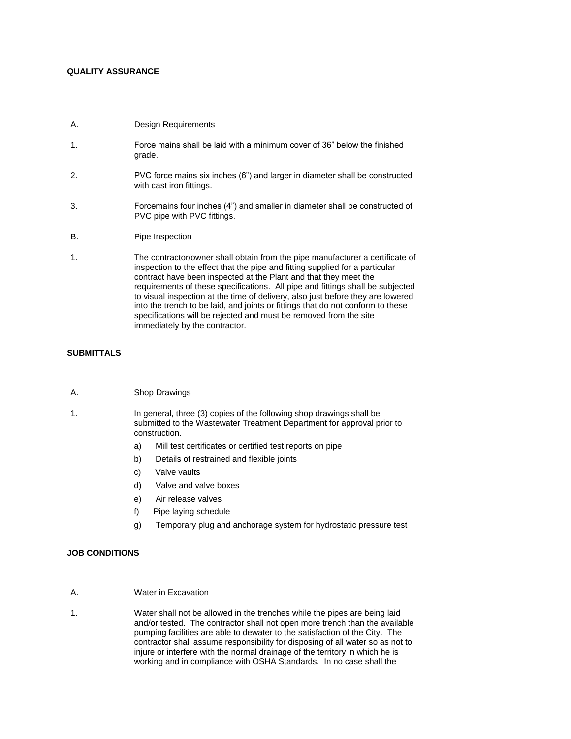# **QUALITY ASSURANCE**

- A. Design Requirements
- 1. Force mains shall be laid with a minimum cover of 36" below the finished grade.
- 2. PVC force mains six inches (6") and larger in diameter shall be constructed with cast iron fittings.
- 3. Forcemains four inches (4") and smaller in diameter shall be constructed of PVC pipe with PVC fittings.
- B. Pipe Inspection
- 1. The contractor/owner shall obtain from the pipe manufacturer a certificate of inspection to the effect that the pipe and fitting supplied for a particular contract have been inspected at the Plant and that they meet the requirements of these specifications. All pipe and fittings shall be subjected to visual inspection at the time of delivery, also just before they are lowered into the trench to be laid, and joints or fittings that do not conform to these specifications will be rejected and must be removed from the site immediately by the contractor.

## **SUBMITTALS**

- A. Shop Drawings
- 1. In general, three (3) copies of the following shop drawings shall be submitted to the Wastewater Treatment Department for approval prior to construction.
	- a) Mill test certificates or certified test reports on pipe
	- b) Details of restrained and flexible joints
	- c) Valve vaults
	- d) Valve and valve boxes
	- e) Air release valves
	- f) Pipe laying schedule
	- g) Temporary plug and anchorage system for hydrostatic pressure test

## **JOB CONDITIONS**

- A. Water in Excavation
- 1. Water shall not be allowed in the trenches while the pipes are being laid and/or tested. The contractor shall not open more trench than the available pumping facilities are able to dewater to the satisfaction of the City. The contractor shall assume responsibility for disposing of all water so as not to injure or interfere with the normal drainage of the territory in which he is working and in compliance with OSHA Standards. In no case shall the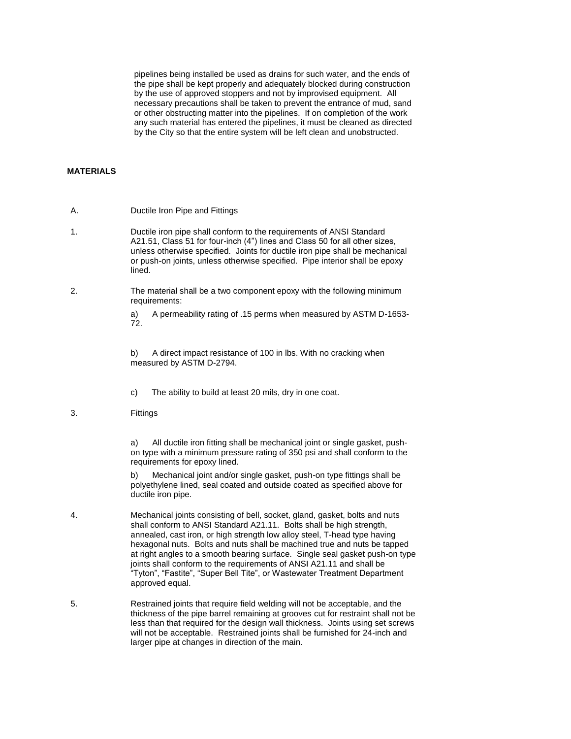pipelines being installed be used as drains for such water, and the ends of the pipe shall be kept properly and adequately blocked during construction by the use of approved stoppers and not by improvised equipment. All necessary precautions shall be taken to prevent the entrance of mud, sand or other obstructing matter into the pipelines. If on completion of the work any such material has entered the pipelines, it must be cleaned as directed by the City so that the entire system will be left clean and unobstructed.

## **MATERIALS**

- A. Ductile Iron Pipe and Fittings
- 1. Ductile iron pipe shall conform to the requirements of ANSI Standard A21.51, Class 51 for four-inch (4") lines and Class 50 for all other sizes, unless otherwise specified. Joints for ductile iron pipe shall be mechanical or push-on joints, unless otherwise specified. Pipe interior shall be epoxy lined.
- 2. The material shall be a two component epoxy with the following minimum requirements:

a) A permeability rating of .15 perms when measured by ASTM D-1653- 72.

b) A direct impact resistance of 100 in lbs. With no cracking when measured by ASTM D-2794.

- c) The ability to build at least 20 mils, dry in one coat.
- 3. Fittings

a) All ductile iron fitting shall be mechanical joint or single gasket, pushon type with a minimum pressure rating of 350 psi and shall conform to the requirements for epoxy lined.

b) Mechanical joint and/or single gasket, push-on type fittings shall be polyethylene lined, seal coated and outside coated as specified above for ductile iron pipe.

- 4. Mechanical joints consisting of bell, socket, gland, gasket, bolts and nuts shall conform to ANSI Standard A21.11. Bolts shall be high strength, annealed, cast iron, or high strength low alloy steel, T-head type having hexagonal nuts. Bolts and nuts shall be machined true and nuts be tapped at right angles to a smooth bearing surface. Single seal gasket push-on type joints shall conform to the requirements of ANSI A21.11 and shall be "Tyton", "Fastite", "Super Bell Tite", or Wastewater Treatment Department approved equal.
- 5. Restrained joints that require field welding will not be acceptable, and the thickness of the pipe barrel remaining at grooves cut for restraint shall not be less than that required for the design wall thickness. Joints using set screws will not be acceptable. Restrained joints shall be furnished for 24-inch and larger pipe at changes in direction of the main.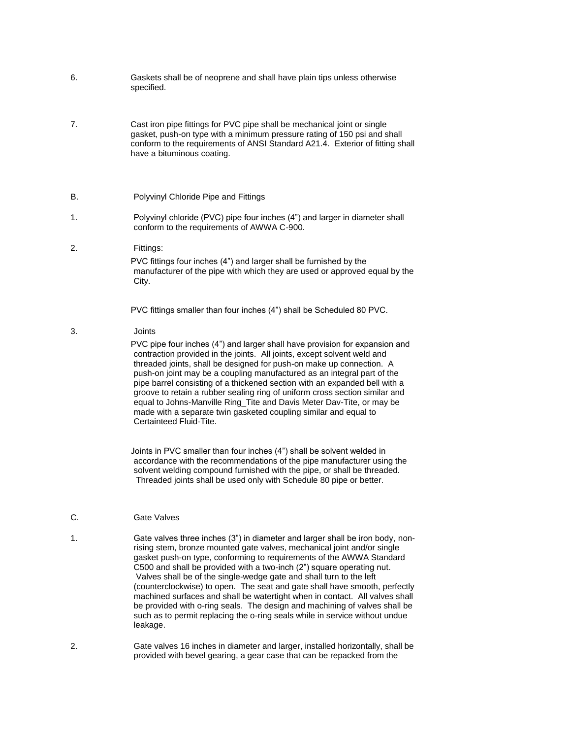- 6. Gaskets shall be of neoprene and shall have plain tips unless otherwise specified.
- 7. Cast iron pipe fittings for PVC pipe shall be mechanical joint or single gasket, push-on type with a minimum pressure rating of 150 psi and shall conform to the requirements of ANSI Standard A21.4. Exterior of fitting shall have a bituminous coating.

### B. Polyvinyl Chloride Pipe and Fittings

- 1. Polyvinyl chloride (PVC) pipe four inches (4") and larger in diameter shall conform to the requirements of AWWA C-900.
- 2. Fittings:

PVC fittings four inches (4") and larger shall be furnished by the manufacturer of the pipe with which they are used or approved equal by the City.

PVC fittings smaller than four inches (4") shall be Scheduled 80 PVC.

### 3. Joints

PVC pipe four inches (4") and larger shall have provision for expansion and contraction provided in the joints. All joints, except solvent weld and threaded joints, shall be designed for push-on make up connection. A push-on joint may be a coupling manufactured as an integral part of the pipe barrel consisting of a thickened section with an expanded bell with a groove to retain a rubber sealing ring of uniform cross section similar and equal to Johns-Manville Ring\_Tite and Davis Meter Dav-Tite, or may be made with a separate twin gasketed coupling similar and equal to Certainteed Fluid-Tite.

b) Joints in PVC smaller than four inches (4") shall be solvent welded in accordance with the recommendations of the pipe manufacturer using the solvent welding compound furnished with the pipe, or shall be threaded. Threaded joints shall be used only with Schedule 80 pipe or better.

## C. **Gate Valves**

- 1. Gate valves three inches (3") in diameter and larger shall be iron body, nonrising stem, bronze mounted gate valves, mechanical joint and/or single gasket push-on type, conforming to requirements of the AWWA Standard C500 and shall be provided with a two-inch (2") square operating nut. Valves shall be of the single-wedge gate and shall turn to the left (counterclockwise) to open. The seat and gate shall have smooth, perfectly machined surfaces and shall be watertight when in contact. All valves shall be provided with o-ring seals. The design and machining of valves shall be such as to permit replacing the o-ring seals while in service without undue leakage.
- 2. Gate valves 16 inches in diameter and larger, installed horizontally, shall be provided with bevel gearing, a gear case that can be repacked from the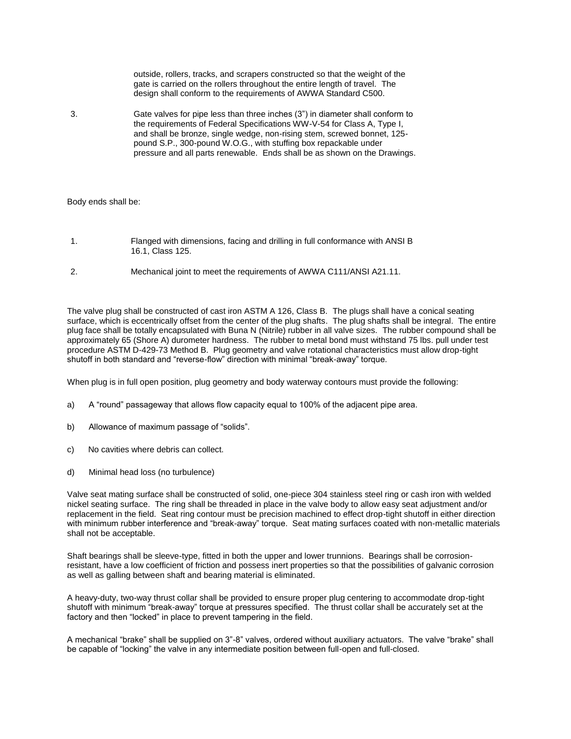outside, rollers, tracks, and scrapers constructed so that the weight of the gate is carried on the rollers throughout the entire length of travel. The design shall conform to the requirements of AWWA Standard C500.

3. Gate valves for pipe less than three inches (3") in diameter shall conform to the requirements of Federal Specifications WW-V-54 for Class A, Type I, and shall be bronze, single wedge, non-rising stem, screwed bonnet, 125 pound S.P., 300-pound W.O.G., with stuffing box repackable under pressure and all parts renewable. Ends shall be as shown on the Drawings.

#### Body ends shall be:

- 1. Flanged with dimensions, facing and drilling in full conformance with ANSI B 16.1, Class 125.
- 2. Mechanical joint to meet the requirements of AWWA C111/ANSI A21.11.

The valve plug shall be constructed of cast iron ASTM A 126, Class B. The plugs shall have a conical seating surface, which is eccentrically offset from the center of the plug shafts. The plug shafts shall be integral. The entire plug face shall be totally encapsulated with Buna N (Nitrile) rubber in all valve sizes. The rubber compound shall be approximately 65 (Shore A) durometer hardness. The rubber to metal bond must withstand 75 lbs. pull under test procedure ASTM D-429-73 Method B. Plug geometry and valve rotational characteristics must allow drop-tight shutoff in both standard and "reverse-flow" direction with minimal "break-away" torque.

When plug is in full open position, plug geometry and body waterway contours must provide the following:

- a) A "round" passageway that allows flow capacity equal to 100% of the adjacent pipe area.
- b) Allowance of maximum passage of "solids".
- c) No cavities where debris can collect.
- d) Minimal head loss (no turbulence)

Valve seat mating surface shall be constructed of solid, one-piece 304 stainless steel ring or cash iron with welded nickel seating surface. The ring shall be threaded in place in the valve body to allow easy seat adjustment and/or replacement in the field. Seat ring contour must be precision machined to effect drop-tight shutoff in either direction with minimum rubber interference and "break-away" torque. Seat mating surfaces coated with non-metallic materials shall not be acceptable.

Shaft bearings shall be sleeve-type, fitted in both the upper and lower trunnions. Bearings shall be corrosionresistant, have a low coefficient of friction and possess inert properties so that the possibilities of galvanic corrosion as well as galling between shaft and bearing material is eliminated.

A heavy-duty, two-way thrust collar shall be provided to ensure proper plug centering to accommodate drop-tight shutoff with minimum "break-away" torque at pressures specified. The thrust collar shall be accurately set at the factory and then "locked" in place to prevent tampering in the field.

A mechanical "brake" shall be supplied on 3"-8" valves, ordered without auxiliary actuators. The valve "brake" shall be capable of "locking" the valve in any intermediate position between full-open and full-closed.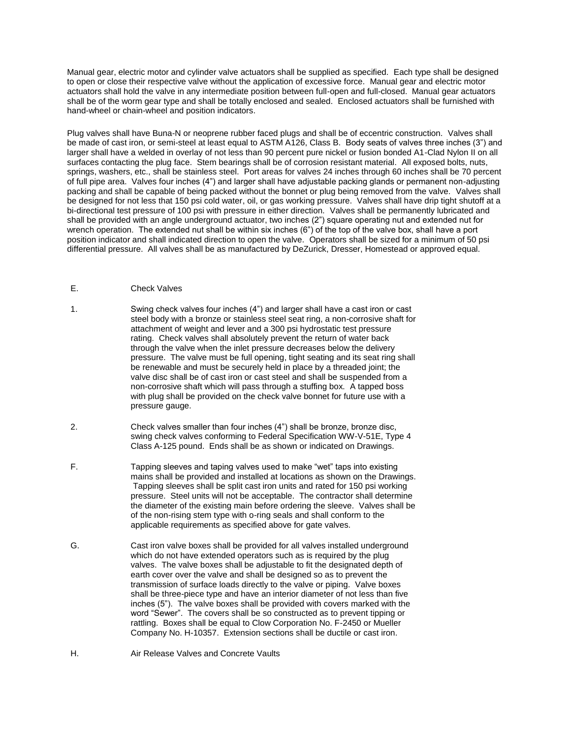Manual gear, electric motor and cylinder valve actuators shall be supplied as specified. Each type shall be designed to open or close their respective valve without the application of excessive force. Manual gear and electric motor actuators shall hold the valve in any intermediate position between full-open and full-closed. Manual gear actuators shall be of the worm gear type and shall be totally enclosed and sealed. Enclosed actuators shall be furnished with hand-wheel or chain-wheel and position indicators.

Plug valves shall have Buna-N or neoprene rubber faced plugs and shall be of eccentric construction. Valves shall be made of cast iron, or semi-steel at least equal to ASTM A126, Class B. Body seats of valves three inches (3") and larger shall have a welded in overlay of not less than 90 percent pure nickel or fusion bonded A1-Clad Nylon II on all surfaces contacting the plug face. Stem bearings shall be of corrosion resistant material. All exposed bolts, nuts, springs, washers, etc., shall be stainless steel. Port areas for valves 24 inches through 60 inches shall be 70 percent of full pipe area. Valves four inches (4") and larger shall have adjustable packing glands or permanent non-adjusting packing and shall be capable of being packed without the bonnet or plug being removed from the valve. Valves shall be designed for not less that 150 psi cold water, oil, or gas working pressure. Valves shall have drip tight shutoff at a bi-directional test pressure of 100 psi with pressure in either direction. Valves shall be permanently lubricated and shall be provided with an angle underground actuator, two inches (2") square operating nut and extended nut for wrench operation. The extended nut shall be within six inches (6") of the top of the valve box, shall have a port position indicator and shall indicated direction to open the valve. Operators shall be sized for a minimum of 50 psi differential pressure. All valves shall be as manufactured by DeZurick, Dresser, Homestead or approved equal.

# E. Check Valves

- 1. Swing check valves four inches (4") and larger shall have a cast iron or cast steel body with a bronze or stainless steel seat ring, a non-corrosive shaft for attachment of weight and lever and a 300 psi hydrostatic test pressure rating. Check valves shall absolutely prevent the return of water back through the valve when the inlet pressure decreases below the delivery pressure. The valve must be full opening, tight seating and its seat ring shall be renewable and must be securely held in place by a threaded joint; the valve disc shall be of cast iron or cast steel and shall be suspended from a non-corrosive shaft which will pass through a stuffing box. A tapped boss with plug shall be provided on the check valve bonnet for future use with a pressure gauge.
- 2. Check valves smaller than four inches (4") shall be bronze, bronze disc, swing check valves conforming to Federal Specification WW-V-51E, Type 4 Class A-125 pound. Ends shall be as shown or indicated on Drawings.
- F. Tapping sleeves and taping valves used to make "wet" taps into existing mains shall be provided and installed at locations as shown on the Drawings. Tapping sleeves shall be split cast iron units and rated for 150 psi working pressure. Steel units will not be acceptable. The contractor shall determine the diameter of the existing main before ordering the sleeve. Valves shall be of the non-rising stem type with o-ring seals and shall conform to the applicable requirements as specified above for gate valves.
- G. Cast iron valve boxes shall be provided for all valves installed underground which do not have extended operators such as is required by the plug valves. The valve boxes shall be adjustable to fit the designated depth of earth cover over the valve and shall be designed so as to prevent the transmission of surface loads directly to the valve or piping. Valve boxes shall be three-piece type and have an interior diameter of not less than five inches (5"). The valve boxes shall be provided with covers marked with the word "Sewer". The covers shall be so constructed as to prevent tipping or rattling. Boxes shall be equal to Clow Corporation No. F-2450 or Mueller Company No. H-10357. Extension sections shall be ductile or cast iron.

## H. Air Release Valves and Concrete Vaults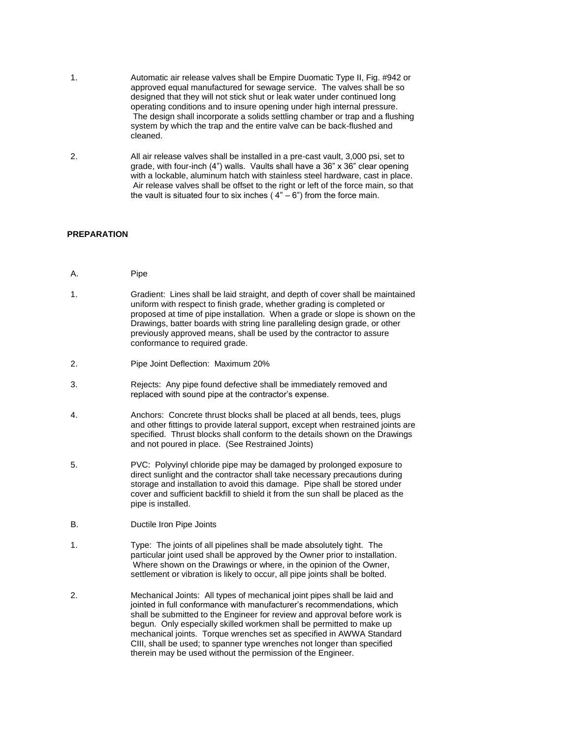- 1. Automatic air release valves shall be Empire Duomatic Type II, Fig. #942 or approved equal manufactured for sewage service. The valves shall be so designed that they will not stick shut or leak water under continued long operating conditions and to insure opening under high internal pressure. The design shall incorporate a solids settling chamber or trap and a flushing system by which the trap and the entire valve can be back-flushed and cleaned.
- 2. All air release valves shall be installed in a pre-cast vault, 3,000 psi, set to grade, with four-inch (4") walls. Vaults shall have a 36" x 36" clear opening with a lockable, aluminum hatch with stainless steel hardware, cast in place. Air release valves shall be offset to the right or left of the force main, so that the vault is situated four to six inches ( $4" - 6"$ ) from the force main.

## **PREPARATION**

- A. Pipe
- 1. Gradient: Lines shall be laid straight, and depth of cover shall be maintained uniform with respect to finish grade, whether grading is completed or proposed at time of pipe installation. When a grade or slope is shown on the Drawings, batter boards with string line paralleling design grade, or other previously approved means, shall be used by the contractor to assure conformance to required grade.
- 2. Pipe Joint Deflection: Maximum 20%
- 3. Rejects: Any pipe found defective shall be immediately removed and replaced with sound pipe at the contractor's expense.
- 4. Anchors: Concrete thrust blocks shall be placed at all bends, tees, plugs and other fittings to provide lateral support, except when restrained joints are specified. Thrust blocks shall conform to the details shown on the Drawings and not poured in place. (See Restrained Joints)
- 5. PVC: Polyvinyl chloride pipe may be damaged by prolonged exposure to direct sunlight and the contractor shall take necessary precautions during storage and installation to avoid this damage. Pipe shall be stored under cover and sufficient backfill to shield it from the sun shall be placed as the pipe is installed.
- B. Ductile Iron Pipe Joints
- 1. Type: The joints of all pipelines shall be made absolutely tight. The particular joint used shall be approved by the Owner prior to installation. Where shown on the Drawings or where, in the opinion of the Owner, settlement or vibration is likely to occur, all pipe joints shall be bolted.
- 2. Mechanical Joints: All types of mechanical joint pipes shall be laid and jointed in full conformance with manufacturer's recommendations, which shall be submitted to the Engineer for review and approval before work is begun. Only especially skilled workmen shall be permitted to make up mechanical joints. Torque wrenches set as specified in AWWA Standard CIII, shall be used; to spanner type wrenches not longer than specified therein may be used without the permission of the Engineer.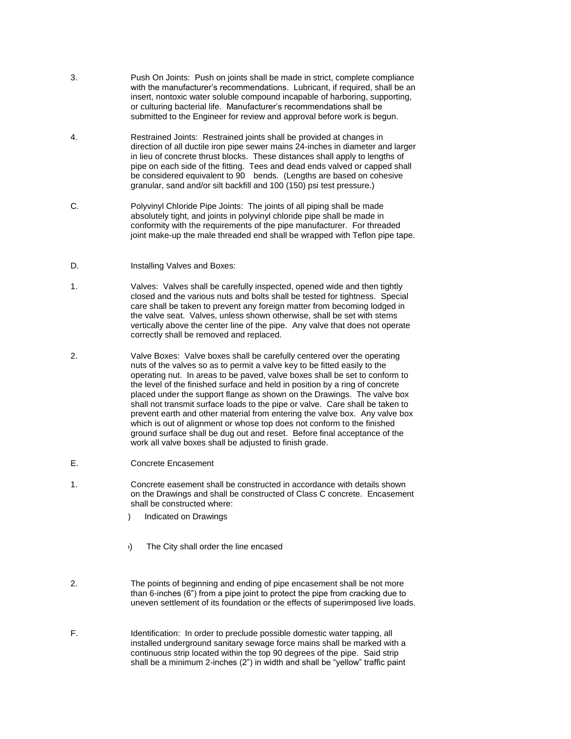- 3. Push On Joints: Push on joints shall be made in strict, complete compliance with the manufacturer's recommendations. Lubricant, if required, shall be an insert, nontoxic water soluble compound incapable of harboring, supporting, or culturing bacterial life. Manufacturer's recommendations shall be submitted to the Engineer for review and approval before work is begun.
- 4. Restrained Joints: Restrained joints shall be provided at changes in direction of all ductile iron pipe sewer mains 24-inches in diameter and larger in lieu of concrete thrust blocks. These distances shall apply to lengths of pipe on each side of the fitting. Tees and dead ends valved or capped shall be considered equivalent to 90 bends. (Lengths are based on cohesive granular, sand and/or silt backfill and 100 (150) psi test pressure.)
- C. Polyvinyl Chloride Pipe Joints: The joints of all piping shall be made absolutely tight, and joints in polyvinyl chloride pipe shall be made in conformity with the requirements of the pipe manufacturer. For threaded joint make-up the male threaded end shall be wrapped with Teflon pipe tape.
- D. **Installing Valves and Boxes:**
- 1. Valves: Valves shall be carefully inspected, opened wide and then tightly closed and the various nuts and bolts shall be tested for tightness. Special care shall be taken to prevent any foreign matter from becoming lodged in the valve seat. Valves, unless shown otherwise, shall be set with stems vertically above the center line of the pipe. Any valve that does not operate correctly shall be removed and replaced.
- 2. Valve Boxes: Valve boxes shall be carefully centered over the operating nuts of the valves so as to permit a valve key to be fitted easily to the operating nut. In areas to be paved, valve boxes shall be set to conform to the level of the finished surface and held in position by a ring of concrete placed under the support flange as shown on the Drawings. The valve box shall not transmit surface loads to the pipe or valve. Care shall be taken to prevent earth and other material from entering the valve box. Any valve box which is out of alignment or whose top does not conform to the finished ground surface shall be dug out and reset. Before final acceptance of the work all valve boxes shall be adjusted to finish grade.
- E. Concrete Encasement
- 1. Concrete easement shall be constructed in accordance with details shown on the Drawings and shall be constructed of Class C concrete. Encasement shall be constructed where:
	- Indicated on Drawings
	- b) The City shall order the line encased
- 2. The points of beginning and ending of pipe encasement shall be not more than 6-inches (6") from a pipe joint to protect the pipe from cracking due to uneven settlement of its foundation or the effects of superimposed live loads.
- F. Identification: In order to preclude possible domestic water tapping, all installed underground sanitary sewage force mains shall be marked with a continuous strip located within the top 90 degrees of the pipe. Said strip shall be a minimum 2-inches (2") in width and shall be "yellow" traffic paint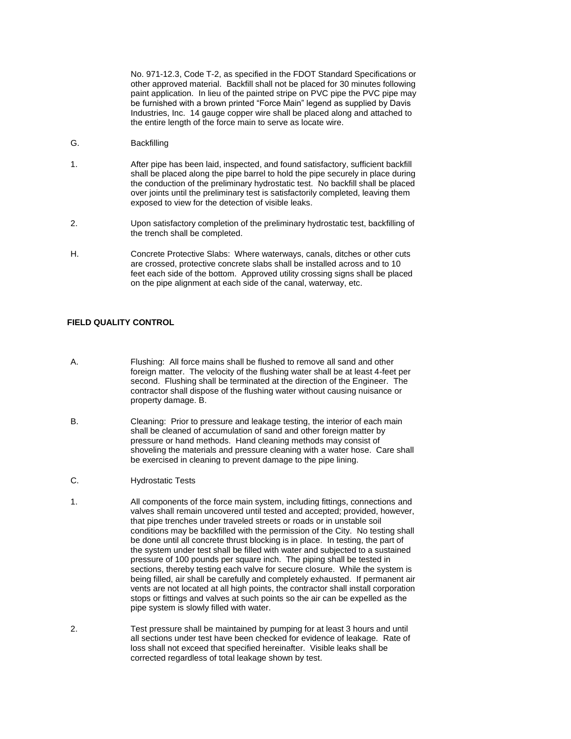No. 971-12.3, Code T-2, as specified in the FDOT Standard Specifications or other approved material. Backfill shall not be placed for 30 minutes following paint application. In lieu of the painted stripe on PVC pipe the PVC pipe may be furnished with a brown printed "Force Main" legend as supplied by Davis Industries, Inc. 14 gauge copper wire shall be placed along and attached to the entire length of the force main to serve as locate wire.

- G. Backfilling
- 1. After pipe has been laid, inspected, and found satisfactory, sufficient backfill shall be placed along the pipe barrel to hold the pipe securely in place during the conduction of the preliminary hydrostatic test. No backfill shall be placed over joints until the preliminary test is satisfactorily completed, leaving them exposed to view for the detection of visible leaks.
- 2. Upon satisfactory completion of the preliminary hydrostatic test, backfilling of the trench shall be completed.
- H. Concrete Protective Slabs: Where waterways, canals, ditches or other cuts are crossed, protective concrete slabs shall be installed across and to 10 feet each side of the bottom. Approved utility crossing signs shall be placed on the pipe alignment at each side of the canal, waterway, etc.

# **FIELD QUALITY CONTROL**

- A. Flushing: All force mains shall be flushed to remove all sand and other foreign matter. The velocity of the flushing water shall be at least 4-feet per second. Flushing shall be terminated at the direction of the Engineer. The contractor shall dispose of the flushing water without causing nuisance or property damage. B.
- B. Cleaning: Prior to pressure and leakage testing, the interior of each main shall be cleaned of accumulation of sand and other foreign matter by pressure or hand methods. Hand cleaning methods may consist of shoveling the materials and pressure cleaning with a water hose. Care shall be exercised in cleaning to prevent damage to the pipe lining.
- C. Hydrostatic Tests
- 1. All components of the force main system, including fittings, connections and valves shall remain uncovered until tested and accepted; provided, however, that pipe trenches under traveled streets or roads or in unstable soil conditions may be backfilled with the permission of the City. No testing shall be done until all concrete thrust blocking is in place. In testing, the part of the system under test shall be filled with water and subjected to a sustained pressure of 100 pounds per square inch. The piping shall be tested in sections, thereby testing each valve for secure closure. While the system is being filled, air shall be carefully and completely exhausted. If permanent air vents are not located at all high points, the contractor shall install corporation stops or fittings and valves at such points so the air can be expelled as the pipe system is slowly filled with water.
- 2. Test pressure shall be maintained by pumping for at least 3 hours and until all sections under test have been checked for evidence of leakage. Rate of loss shall not exceed that specified hereinafter. Visible leaks shall be corrected regardless of total leakage shown by test.